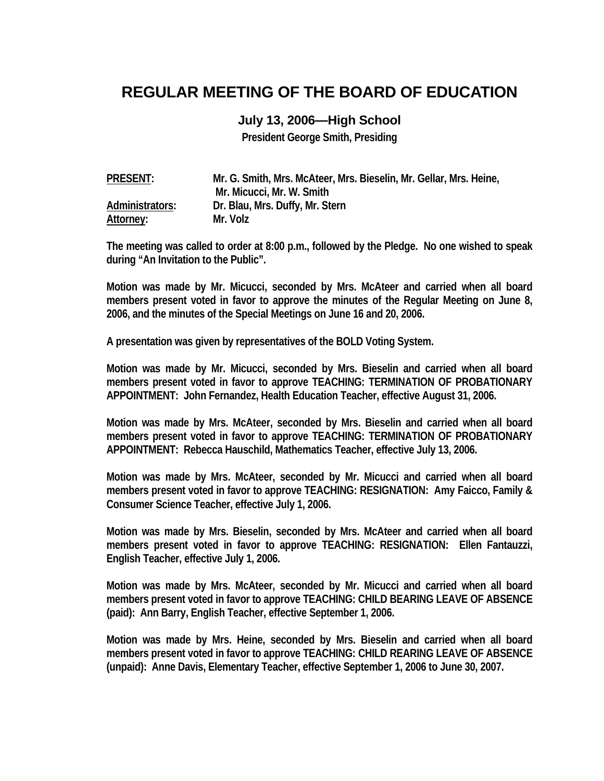## **REGULAR MEETING OF THE BOARD OF EDUCATION**

## **July 13, 2006—High School**

**President George Smith, Presiding** 

| <b>PRESENT:</b> | Mr. G. Smith, Mrs. McAteer, Mrs. Bieselin, Mr. Gellar, Mrs. Heine, |
|-----------------|--------------------------------------------------------------------|
|                 | Mr. Micucci, Mr. W. Smith                                          |
| Administrators: | Dr. Blau, Mrs. Duffy, Mr. Stern                                    |
| Attorney:       | Mr. Volz                                                           |

**The meeting was called to order at 8:00 p.m., followed by the Pledge. No one wished to speak during "An Invitation to the Public".** 

**Motion was made by Mr. Micucci, seconded by Mrs. McAteer and carried when all board members present voted in favor to approve the minutes of the Regular Meeting on June 8, 2006, and the minutes of the Special Meetings on June 16 and 20, 2006.** 

**A presentation was given by representatives of the BOLD Voting System.** 

**Motion was made by Mr. Micucci, seconded by Mrs. Bieselin and carried when all board members present voted in favor to approve TEACHING: TERMINATION OF PROBATIONARY APPOINTMENT: John Fernandez, Health Education Teacher, effective August 31, 2006.** 

**Motion was made by Mrs. McAteer, seconded by Mrs. Bieselin and carried when all board members present voted in favor to approve TEACHING: TERMINATION OF PROBATIONARY APPOINTMENT: Rebecca Hauschild, Mathematics Teacher, effective July 13, 2006.** 

**Motion was made by Mrs. McAteer, seconded by Mr. Micucci and carried when all board members present voted in favor to approve TEACHING: RESIGNATION: Amy Faicco, Family & Consumer Science Teacher, effective July 1, 2006.** 

**Motion was made by Mrs. Bieselin, seconded by Mrs. McAteer and carried when all board members present voted in favor to approve TEACHING: RESIGNATION: Ellen Fantauzzi, English Teacher, effective July 1, 2006.** 

**Motion was made by Mrs. McAteer, seconded by Mr. Micucci and carried when all board members present voted in favor to approve TEACHING: CHILD BEARING LEAVE OF ABSENCE (paid): Ann Barry, English Teacher, effective September 1, 2006.** 

**Motion was made by Mrs. Heine, seconded by Mrs. Bieselin and carried when all board members present voted in favor to approve TEACHING: CHILD REARING LEAVE OF ABSENCE (unpaid): Anne Davis, Elementary Teacher, effective September 1, 2006 to June 30, 2007.**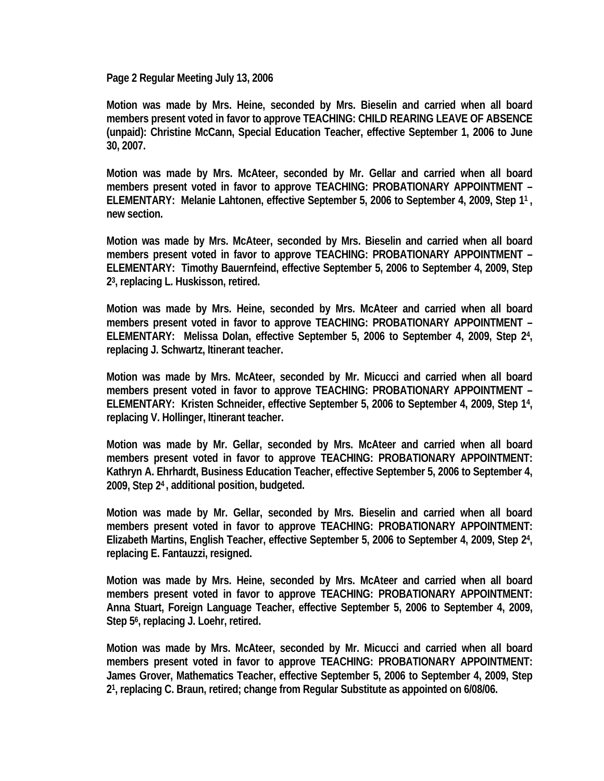**Page 2 Regular Meeting July 13, 2006** 

**Motion was made by Mrs. Heine, seconded by Mrs. Bieselin and carried when all board members present voted in favor to approve TEACHING: CHILD REARING LEAVE OF ABSENCE (unpaid): Christine McCann, Special Education Teacher, effective September 1, 2006 to June 30, 2007.** 

**Motion was made by Mrs. McAteer, seconded by Mr. Gellar and carried when all board members present voted in favor to approve TEACHING: PROBATIONARY APPOINTMENT – ELEMENTARY: Melanie Lahtonen, effective September 5, 2006 to September 4, 2009, Step 11 , new section.** 

**Motion was made by Mrs. McAteer, seconded by Mrs. Bieselin and carried when all board members present voted in favor to approve TEACHING: PROBATIONARY APPOINTMENT – ELEMENTARY: Timothy Bauernfeind, effective September 5, 2006 to September 4, 2009, Step 23, replacing L. Huskisson, retired.** 

**Motion was made by Mrs. Heine, seconded by Mrs. McAteer and carried when all board members present voted in favor to approve TEACHING: PROBATIONARY APPOINTMENT – ELEMENTARY: Melissa Dolan, effective September 5, 2006 to September 4, 2009, Step 24, replacing J. Schwartz, Itinerant teacher.** 

**Motion was made by Mrs. McAteer, seconded by Mr. Micucci and carried when all board members present voted in favor to approve TEACHING: PROBATIONARY APPOINTMENT – ELEMENTARY: Kristen Schneider, effective September 5, 2006 to September 4, 2009, Step 14, replacing V. Hollinger, Itinerant teacher.** 

**Motion was made by Mr. Gellar, seconded by Mrs. McAteer and carried when all board members present voted in favor to approve TEACHING: PROBATIONARY APPOINTMENT: Kathryn A. Ehrhardt, Business Education Teacher, effective September 5, 2006 to September 4, 2009, Step 24 , additional position, budgeted.** 

**Motion was made by Mr. Gellar, seconded by Mrs. Bieselin and carried when all board members present voted in favor to approve TEACHING: PROBATIONARY APPOINTMENT: Elizabeth Martins, English Teacher, effective September 5, 2006 to September 4, 2009, Step 24, replacing E. Fantauzzi, resigned.** 

**Motion was made by Mrs. Heine, seconded by Mrs. McAteer and carried when all board members present voted in favor to approve TEACHING: PROBATIONARY APPOINTMENT: Anna Stuart, Foreign Language Teacher, effective September 5, 2006 to September 4, 2009, Step 56, replacing J. Loehr, retired.** 

**Motion was made by Mrs. McAteer, seconded by Mr. Micucci and carried when all board members present voted in favor to approve TEACHING: PROBATIONARY APPOINTMENT: James Grover, Mathematics Teacher, effective September 5, 2006 to September 4, 2009, Step 21, replacing C. Braun, retired; change from Regular Substitute as appointed on 6/08/06.**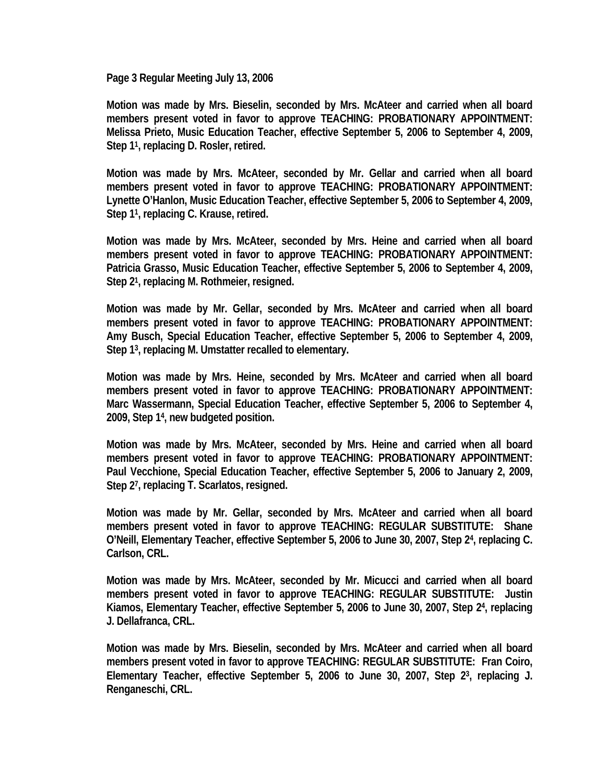**Page 3 Regular Meeting July 13, 2006** 

**Motion was made by Mrs. Bieselin, seconded by Mrs. McAteer and carried when all board members present voted in favor to approve TEACHING: PROBATIONARY APPOINTMENT: Melissa Prieto, Music Education Teacher, effective September 5, 2006 to September 4, 2009, Step 11, replacing D. Rosler, retired.** 

**Motion was made by Mrs. McAteer, seconded by Mr. Gellar and carried when all board members present voted in favor to approve TEACHING: PROBATIONARY APPOINTMENT: Lynette O'Hanlon, Music Education Teacher, effective September 5, 2006 to September 4, 2009, Step 11, replacing C. Krause, retired.** 

**Motion was made by Mrs. McAteer, seconded by Mrs. Heine and carried when all board members present voted in favor to approve TEACHING: PROBATIONARY APPOINTMENT: Patricia Grasso, Music Education Teacher, effective September 5, 2006 to September 4, 2009, Step 21, replacing M. Rothmeier, resigned.** 

**Motion was made by Mr. Gellar, seconded by Mrs. McAteer and carried when all board members present voted in favor to approve TEACHING: PROBATIONARY APPOINTMENT: Amy Busch, Special Education Teacher, effective September 5, 2006 to September 4, 2009, Step 13, replacing M. Umstatter recalled to elementary.** 

**Motion was made by Mrs. Heine, seconded by Mrs. McAteer and carried when all board members present voted in favor to approve TEACHING: PROBATIONARY APPOINTMENT: Marc Wassermann, Special Education Teacher, effective September 5, 2006 to September 4, 2009, Step 14, new budgeted position.** 

**Motion was made by Mrs. McAteer, seconded by Mrs. Heine and carried when all board members present voted in favor to approve TEACHING: PROBATIONARY APPOINTMENT: Paul Vecchione, Special Education Teacher, effective September 5, 2006 to January 2, 2009, Step 27, replacing T. Scarlatos, resigned.** 

**Motion was made by Mr. Gellar, seconded by Mrs. McAteer and carried when all board members present voted in favor to approve TEACHING: REGULAR SUBSTITUTE: Shane O'Neill, Elementary Teacher, effective September 5, 2006 to June 30, 2007, Step 24, replacing C. Carlson, CRL.** 

**Motion was made by Mrs. McAteer, seconded by Mr. Micucci and carried when all board members present voted in favor to approve TEACHING: REGULAR SUBSTITUTE: Justin Kiamos, Elementary Teacher, effective September 5, 2006 to June 30, 2007, Step 24, replacing J. Dellafranca, CRL.** 

**Motion was made by Mrs. Bieselin, seconded by Mrs. McAteer and carried when all board members present voted in favor to approve TEACHING: REGULAR SUBSTITUTE: Fran Coiro, Elementary Teacher, effective September 5, 2006 to June 30, 2007, Step 23, replacing J. Renganeschi, CRL.**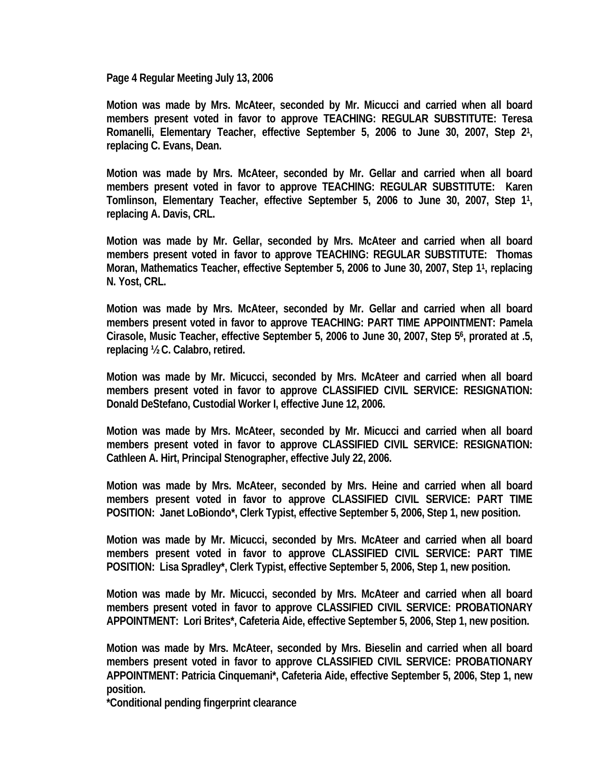**Page 4 Regular Meeting July 13, 2006** 

**Motion was made by Mrs. McAteer, seconded by Mr. Micucci and carried when all board members present voted in favor to approve TEACHING: REGULAR SUBSTITUTE: Teresa Romanelli, Elementary Teacher, effective September 5, 2006 to June 30, 2007, Step 21, replacing C. Evans, Dean.** 

**Motion was made by Mrs. McAteer, seconded by Mr. Gellar and carried when all board members present voted in favor to approve TEACHING: REGULAR SUBSTITUTE: Karen Tomlinson, Elementary Teacher, effective September 5, 2006 to June 30, 2007, Step 11, replacing A. Davis, CRL.** 

**Motion was made by Mr. Gellar, seconded by Mrs. McAteer and carried when all board members present voted in favor to approve TEACHING: REGULAR SUBSTITUTE: Thomas Moran, Mathematics Teacher, effective September 5, 2006 to June 30, 2007, Step 11, replacing N. Yost, CRL.** 

**Motion was made by Mrs. McAteer, seconded by Mr. Gellar and carried when all board members present voted in favor to approve TEACHING: PART TIME APPOINTMENT: Pamela Cirasole, Music Teacher, effective September 5, 2006 to June 30, 2007, Step 56, prorated at .5, replacing ½ C. Calabro, retired.** 

**Motion was made by Mr. Micucci, seconded by Mrs. McAteer and carried when all board members present voted in favor to approve CLASSIFIED CIVIL SERVICE: RESIGNATION: Donald DeStefano, Custodial Worker I, effective June 12, 2006.** 

**Motion was made by Mrs. McAteer, seconded by Mr. Micucci and carried when all board members present voted in favor to approve CLASSIFIED CIVIL SERVICE: RESIGNATION: Cathleen A. Hirt, Principal Stenographer, effective July 22, 2006.** 

**Motion was made by Mrs. McAteer, seconded by Mrs. Heine and carried when all board members present voted in favor to approve CLASSIFIED CIVIL SERVICE: PART TIME POSITION: Janet LoBiondo\*, Clerk Typist, effective September 5, 2006, Step 1, new position.** 

**Motion was made by Mr. Micucci, seconded by Mrs. McAteer and carried when all board members present voted in favor to approve CLASSIFIED CIVIL SERVICE: PART TIME POSITION: Lisa Spradley\*, Clerk Typist, effective September 5, 2006, Step 1, new position.** 

**Motion was made by Mr. Micucci, seconded by Mrs. McAteer and carried when all board members present voted in favor to approve CLASSIFIED CIVIL SERVICE: PROBATIONARY APPOINTMENT: Lori Brites\*, Cafeteria Aide, effective September 5, 2006, Step 1, new position.** 

**Motion was made by Mrs. McAteer, seconded by Mrs. Bieselin and carried when all board members present voted in favor to approve CLASSIFIED CIVIL SERVICE: PROBATIONARY APPOINTMENT: Patricia Cinquemani\*, Cafeteria Aide, effective September 5, 2006, Step 1, new position.** 

**\*Conditional pending fingerprint clearance**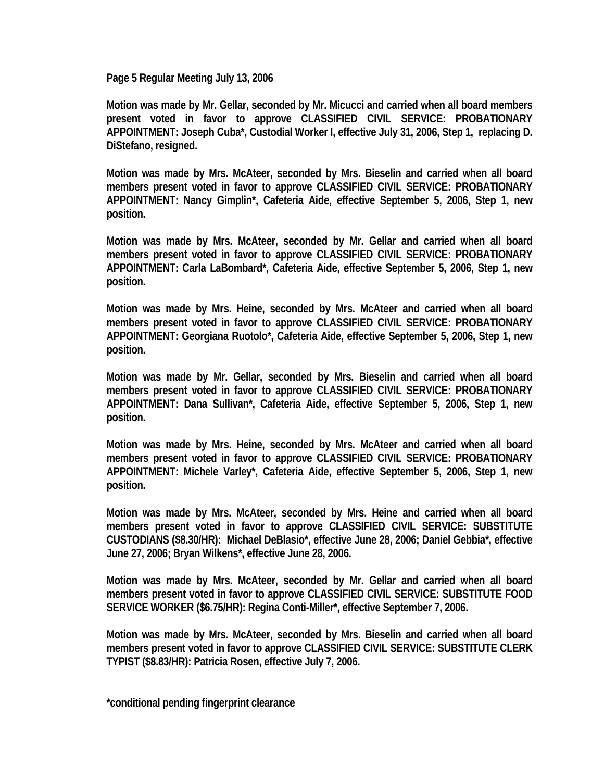**Page 5 Regular Meeting July 13, 2006** 

**Motion was made by Mr. Gellar, seconded by Mr. Micucci and carried when all board members present voted in favor to approve CLASSIFIED CIVIL SERVICE: PROBATIONARY APPOINTMENT: Joseph Cuba\*, Custodial Worker I, effective July 31, 2006, Step 1, replacing D. DiStefano, resigned.** 

**Motion was made by Mrs. McAteer, seconded by Mrs. Bieselin and carried when all board members present voted in favor to approve CLASSIFIED CIVIL SERVICE: PROBATIONARY APPOINTMENT: Nancy Gimplin\*, Cafeteria Aide, effective September 5, 2006, Step 1, new position.** 

**Motion was made by Mrs. McAteer, seconded by Mr. Gellar and carried when all board members present voted in favor to approve CLASSIFIED CIVIL SERVICE: PROBATIONARY APPOINTMENT: Carla LaBombard\*, Cafeteria Aide, effective September 5, 2006, Step 1, new position.** 

**Motion was made by Mrs. Heine, seconded by Mrs. McAteer and carried when all board members present voted in favor to approve CLASSIFIED CIVIL SERVICE: PROBATIONARY APPOINTMENT: Georgiana Ruotolo\*, Cafeteria Aide, effective September 5, 2006, Step 1, new position.** 

**Motion was made by Mr. Gellar, seconded by Mrs. Bieselin and carried when all board members present voted in favor to approve CLASSIFIED CIVIL SERVICE: PROBATIONARY APPOINTMENT: Dana Sullivan\*, Cafeteria Aide, effective September 5, 2006, Step 1, new position.** 

**Motion was made by Mrs. Heine, seconded by Mrs. McAteer and carried when all board members present voted in favor to approve CLASSIFIED CIVIL SERVICE: PROBATIONARY APPOINTMENT: Michele Varley\*, Cafeteria Aide, effective September 5, 2006, Step 1, new position.** 

**Motion was made by Mrs. McAteer, seconded by Mrs. Heine and carried when all board members present voted in favor to approve CLASSIFIED CIVIL SERVICE: SUBSTITUTE CUSTODIANS (\$8.30/HR): Michael DeBlasio\*, effective June 28, 2006; Daniel Gebbia\*, effective June 27, 2006; Bryan Wilkens\*, effective June 28, 2006.** 

**Motion was made by Mrs. McAteer, seconded by Mr. Gellar and carried when all board members present voted in favor to approve CLASSIFIED CIVIL SERVICE: SUBSTITUTE FOOD SERVICE WORKER (\$6.75/HR): Regina Conti-Miller\*, effective September 7, 2006.** 

**Motion was made by Mrs. McAteer, seconded by Mrs. Bieselin and carried when all board members present voted in favor to approve CLASSIFIED CIVIL SERVICE: SUBSTITUTE CLERK TYPIST (\$8.83/HR): Patricia Rosen, effective July 7, 2006.** 

**\*conditional pending fingerprint clearance**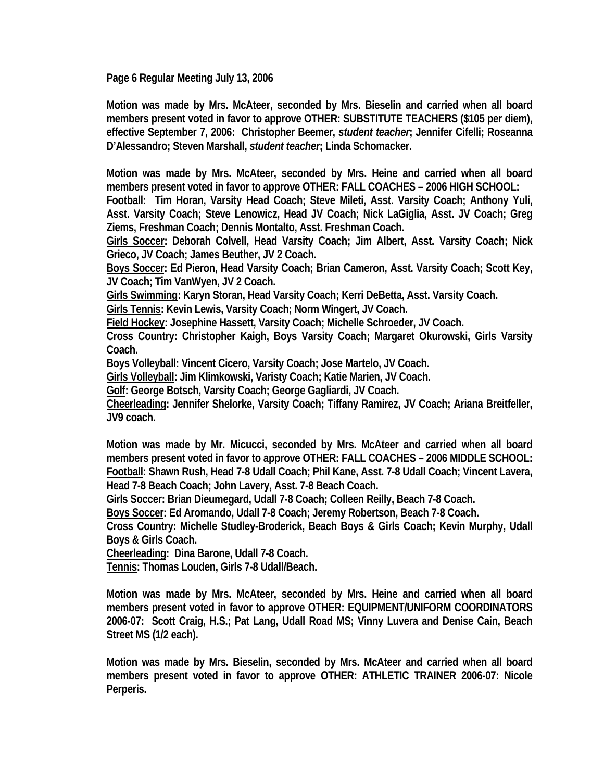**Page 6 Regular Meeting July 13, 2006** 

**Motion was made by Mrs. McAteer, seconded by Mrs. Bieselin and carried when all board members present voted in favor to approve OTHER: SUBSTITUTE TEACHERS (\$105 per diem), effective September 7, 2006: Christopher Beemer,** *student teacher***; Jennifer Cifelli; Roseanna D'Alessandro; Steven Marshall,** *student teacher***; Linda Schomacker.** 

**Motion was made by Mrs. McAteer, seconded by Mrs. Heine and carried when all board members present voted in favor to approve OTHER: FALL COACHES – 2006 HIGH SCHOOL:** 

**Football: Tim Horan, Varsity Head Coach; Steve Mileti, Asst. Varsity Coach; Anthony Yuli, Asst. Varsity Coach; Steve Lenowicz, Head JV Coach; Nick LaGiglia, Asst. JV Coach; Greg Ziems, Freshman Coach; Dennis Montalto, Asst. Freshman Coach.** 

**Girls Soccer: Deborah Colvell, Head Varsity Coach; Jim Albert, Asst. Varsity Coach; Nick Grieco, JV Coach; James Beuther, JV 2 Coach.** 

**Boys Soccer: Ed Pieron, Head Varsity Coach; Brian Cameron, Asst. Varsity Coach; Scott Key, JV Coach; Tim VanWyen, JV 2 Coach.** 

**Girls Swimming: Karyn Storan, Head Varsity Coach; Kerri DeBetta, Asst. Varsity Coach.** 

**Girls Tennis: Kevin Lewis, Varsity Coach; Norm Wingert, JV Coach.** 

**Field Hockey: Josephine Hassett, Varsity Coach; Michelle Schroeder, JV Coach.** 

**Cross Country: Christopher Kaigh, Boys Varsity Coach; Margaret Okurowski, Girls Varsity Coach.** 

**Boys Volleyball: Vincent Cicero, Varsity Coach; Jose Martelo, JV Coach.** 

**Girls Volleyball: Jim Klimkowski, Varisty Coach; Katie Marien, JV Coach.** 

**Golf: George Botsch, Varsity Coach; George Gagliardi, JV Coach.** 

**Cheerleading: Jennifer Shelorke, Varsity Coach; Tiffany Ramirez, JV Coach; Ariana Breitfeller, JV9 coach.** 

**Motion was made by Mr. Micucci, seconded by Mrs. McAteer and carried when all board members present voted in favor to approve OTHER: FALL COACHES – 2006 MIDDLE SCHOOL: Football: Shawn Rush, Head 7-8 Udall Coach; Phil Kane, Asst. 7-8 Udall Coach; Vincent Lavera, Head 7-8 Beach Coach; John Lavery, Asst. 7-8 Beach Coach.** 

**Girls Soccer: Brian Dieumegard, Udall 7-8 Coach; Colleen Reilly, Beach 7-8 Coach.** 

**Boys Soccer: Ed Aromando, Udall 7-8 Coach; Jeremy Robertson, Beach 7-8 Coach.** 

**Cross Country: Michelle Studley-Broderick, Beach Boys & Girls Coach; Kevin Murphy, Udall Boys & Girls Coach.** 

**Cheerleading: Dina Barone, Udall 7-8 Coach.** 

**Tennis: Thomas Louden, Girls 7-8 Udall/Beach.** 

**Motion was made by Mrs. McAteer, seconded by Mrs. Heine and carried when all board members present voted in favor to approve OTHER: EQUIPMENT/UNIFORM COORDINATORS 2006-07: Scott Craig, H.S.; Pat Lang, Udall Road MS; Vinny Luvera and Denise Cain, Beach Street MS (1/2 each).** 

**Motion was made by Mrs. Bieselin, seconded by Mrs. McAteer and carried when all board members present voted in favor to approve OTHER: ATHLETIC TRAINER 2006-07: Nicole Perperis.**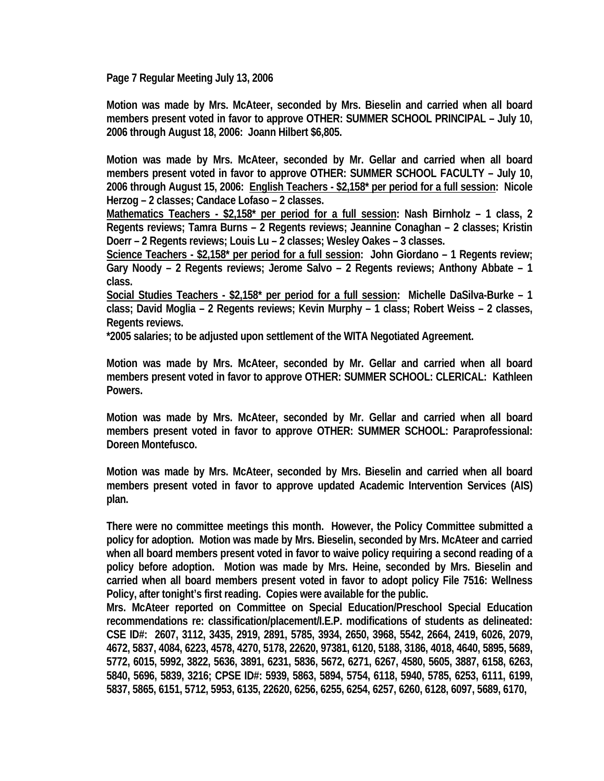**Page 7 Regular Meeting July 13, 2006** 

**Motion was made by Mrs. McAteer, seconded by Mrs. Bieselin and carried when all board members present voted in favor to approve OTHER: SUMMER SCHOOL PRINCIPAL – July 10, 2006 through August 18, 2006: Joann Hilbert \$6,805.** 

**Motion was made by Mrs. McAteer, seconded by Mr. Gellar and carried when all board members present voted in favor to approve OTHER: SUMMER SCHOOL FACULTY – July 10, 2006 through August 15, 2006: English Teachers - \$2,158\* per period for a full session: Nicole Herzog – 2 classes; Candace Lofaso – 2 classes.** 

**Mathematics Teachers - \$2,158\* per period for a full session: Nash Birnholz – 1 class, 2 Regents reviews; Tamra Burns – 2 Regents reviews; Jeannine Conaghan – 2 classes; Kristin Doerr – 2 Regents reviews; Louis Lu – 2 classes; Wesley Oakes – 3 classes.** 

**Science Teachers - \$2,158\* per period for a full session: John Giordano – 1 Regents review; Gary Noody – 2 Regents reviews; Jerome Salvo – 2 Regents reviews; Anthony Abbate – 1 class.** 

**Social Studies Teachers - \$2,158\* per period for a full session: Michelle DaSilva-Burke – 1 class; David Moglia – 2 Regents reviews; Kevin Murphy – 1 class; Robert Weiss – 2 classes, Regents reviews.** 

**\*2005 salaries; to be adjusted upon settlement of the WITA Negotiated Agreement.** 

**Motion was made by Mrs. McAteer, seconded by Mr. Gellar and carried when all board members present voted in favor to approve OTHER: SUMMER SCHOOL: CLERICAL: Kathleen Powers.** 

**Motion was made by Mrs. McAteer, seconded by Mr. Gellar and carried when all board members present voted in favor to approve OTHER: SUMMER SCHOOL: Paraprofessional: Doreen Montefusco.** 

**Motion was made by Mrs. McAteer, seconded by Mrs. Bieselin and carried when all board members present voted in favor to approve updated Academic Intervention Services (AIS) plan.** 

**There were no committee meetings this month. However, the Policy Committee submitted a policy for adoption. Motion was made by Mrs. Bieselin, seconded by Mrs. McAteer and carried when all board members present voted in favor to waive policy requiring a second reading of a policy before adoption. Motion was made by Mrs. Heine, seconded by Mrs. Bieselin and carried when all board members present voted in favor to adopt policy File 7516: Wellness Policy, after tonight's first reading. Copies were available for the public.** 

**Mrs. McAteer reported on Committee on Special Education/Preschool Special Education recommendations re: classification/placement/I.E.P. modifications of students as delineated: CSE ID#: 2607, 3112, 3435, 2919, 2891, 5785, 3934, 2650, 3968, 5542, 2664, 2419, 6026, 2079, 4672, 5837, 4084, 6223, 4578, 4270, 5178, 22620, 97381, 6120, 5188, 3186, 4018, 4640, 5895, 5689, 5772, 6015, 5992, 3822, 5636, 3891, 6231, 5836, 5672, 6271, 6267, 4580, 5605, 3887, 6158, 6263, 5840, 5696, 5839, 3216; CPSE ID#: 5939, 5863, 5894, 5754, 6118, 5940, 5785, 6253, 6111, 6199, 5837, 5865, 6151, 5712, 5953, 6135, 22620, 6256, 6255, 6254, 6257, 6260, 6128, 6097, 5689, 6170,**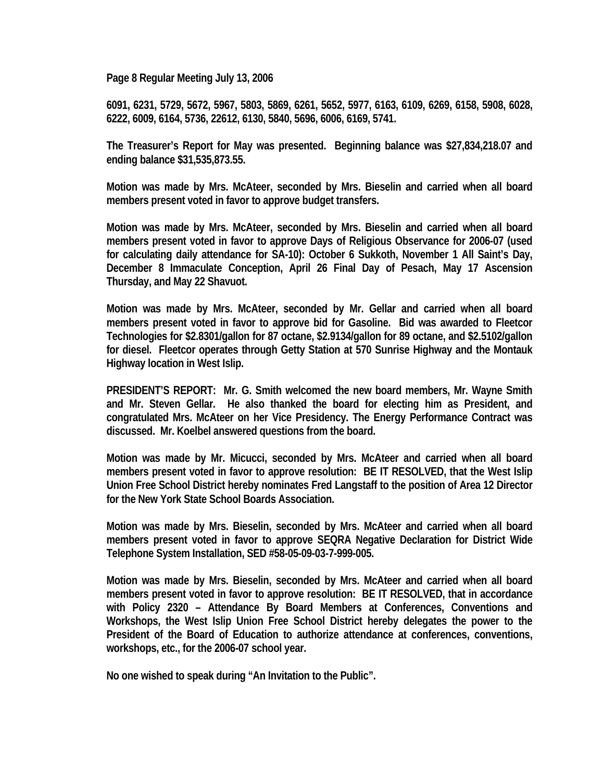**Page 8 Regular Meeting July 13, 2006** 

**6091, 6231, 5729, 5672, 5967, 5803, 5869, 6261, 5652, 5977, 6163, 6109, 6269, 6158, 5908, 6028, 6222, 6009, 6164, 5736, 22612, 6130, 5840, 5696, 6006, 6169, 5741.** 

**The Treasurer's Report for May was presented. Beginning balance was \$27,834,218.07 and ending balance \$31,535,873.55.** 

**Motion was made by Mrs. McAteer, seconded by Mrs. Bieselin and carried when all board members present voted in favor to approve budget transfers.** 

**Motion was made by Mrs. McAteer, seconded by Mrs. Bieselin and carried when all board members present voted in favor to approve Days of Religious Observance for 2006-07 (used for calculating daily attendance for SA-10): October 6 Sukkoth, November 1 All Saint's Day, December 8 Immaculate Conception, April 26 Final Day of Pesach, May 17 Ascension Thursday, and May 22 Shavuot.** 

**Motion was made by Mrs. McAteer, seconded by Mr. Gellar and carried when all board members present voted in favor to approve bid for Gasoline. Bid was awarded to Fleetcor Technologies for \$2.8301/gallon for 87 octane, \$2.9134/gallon for 89 octane, and \$2.5102/gallon for diesel. Fleetcor operates through Getty Station at 570 Sunrise Highway and the Montauk Highway location in West Islip.** 

**PRESIDENT'S REPORT: Mr. G. Smith welcomed the new board members, Mr. Wayne Smith and Mr. Steven Gellar. He also thanked the board for electing him as President, and congratulated Mrs. McAteer on her Vice Presidency. The Energy Performance Contract was discussed. Mr. Koelbel answered questions from the board.** 

**Motion was made by Mr. Micucci, seconded by Mrs. McAteer and carried when all board members present voted in favor to approve resolution: BE IT RESOLVED, that the West Islip Union Free School District hereby nominates Fred Langstaff to the position of Area 12 Director for the New York State School Boards Association.** 

**Motion was made by Mrs. Bieselin, seconded by Mrs. McAteer and carried when all board members present voted in favor to approve SEQRA Negative Declaration for District Wide Telephone System Installation, SED #58-05-09-03-7-999-005.** 

**Motion was made by Mrs. Bieselin, seconded by Mrs. McAteer and carried when all board members present voted in favor to approve resolution: BE IT RESOLVED, that in accordance with Policy 2320 – Attendance By Board Members at Conferences, Conventions and Workshops, the West Islip Union Free School District hereby delegates the power to the President of the Board of Education to authorize attendance at conferences, conventions, workshops, etc., for the 2006-07 school year.** 

**No one wished to speak during "An Invitation to the Public".**